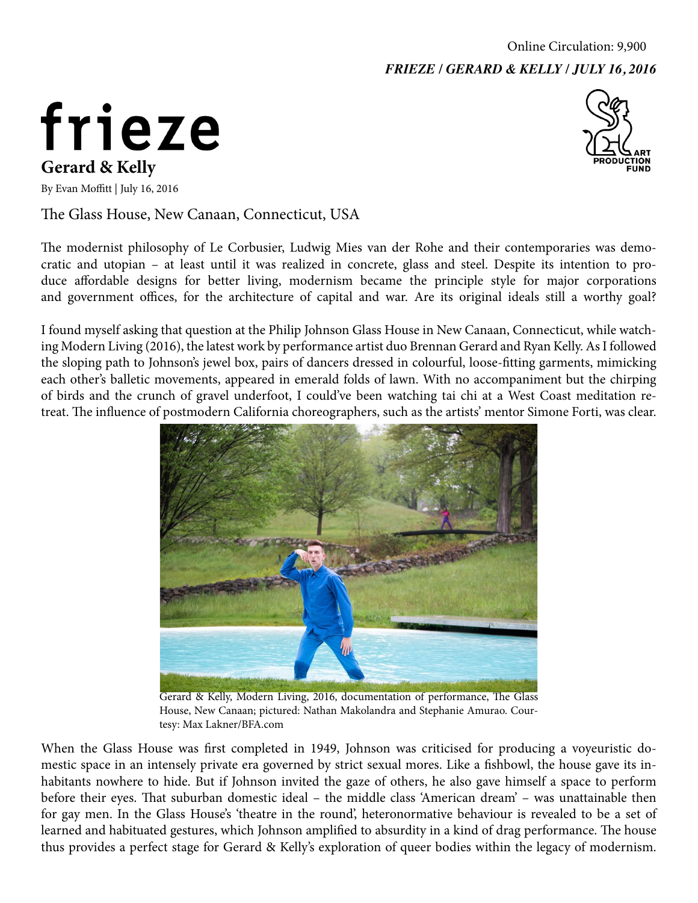## frieze **Gerard & Kelly**



By Evan Moffitt | July 16, 2016

The Glass House, New Canaan, Connecticut, USA

The modernist philosophy of Le Corbusier, Ludwig Mies van der Rohe and their contemporaries was democratic and utopian – at least until it was realized in concrete, glass and steel. Despite its intention to produce affordable designs for better living, modernism became the principle style for major corporations and government offices, for the architecture of capital and war. Are its original ideals still a worthy goal?

I found myself asking that question at the Philip Johnson Glass House in New Canaan, Connecticut, while watching Modern Living (2016), the latest work by performance artist duo Brennan Gerard and Ryan Kelly. As I followed the sloping path to Johnson's jewel box, pairs of dancers dressed in colourful, loose-fitting garments, mimicking each other's balletic movements, appeared in emerald folds of lawn. With no accompaniment but the chirping of birds and the crunch of gravel underfoot, I could've been watching tai chi at a West Coast meditation retreat. The influence of postmodern California choreographers, such as the artists' mentor Simone Forti, was clear.



Gerard & Kelly, Modern Living, 2016, documentation of performance, The Glass House, New Canaan; pictured: Nathan Makolandra and Stephanie Amurao. Courtesy: Max Lakner/BFA.com

When the Glass House was first completed in 1949, Johnson was criticised for producing a voyeuristic domestic space in an intensely private era governed by strict sexual mores. Like a fishbowl, the house gave its inhabitants nowhere to hide. But if Johnson invited the gaze of others, he also gave himself a space to perform before their eyes. That suburban domestic ideal – the middle class 'American dream' – was unattainable then for gay men. In the Glass House's 'theatre in the round', heteronormative behaviour is revealed to be a set of learned and habituated gestures, which Johnson amplified to absurdity in a kind of drag performance. The house thus provides a perfect stage for Gerard & Kelly's exploration of queer bodies within the legacy of modernism.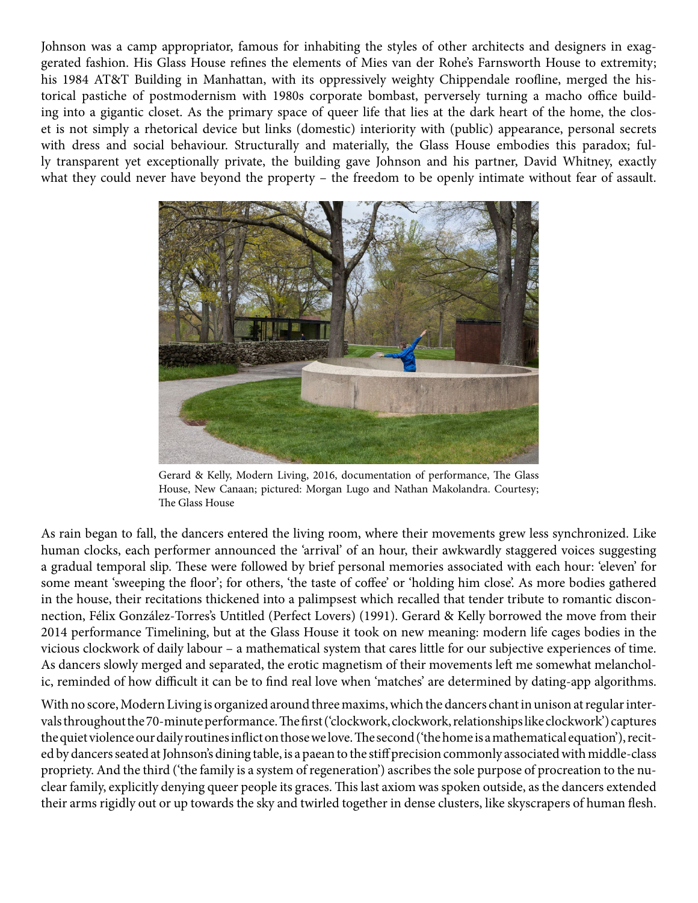Johnson was a camp appropriator, famous for inhabiting the styles of other architects and designers in exaggerated fashion. His Glass House refines the elements of Mies van der Rohe's Farnsworth House to extremity; his 1984 AT&T Building in Manhattan, with its oppressively weighty Chippendale roofline, merged the historical pastiche of postmodernism with 1980s corporate bombast, perversely turning a macho office building into a gigantic closet. As the primary space of queer life that lies at the dark heart of the home, the closet is not simply a rhetorical device but links (domestic) interiority with (public) appearance, personal secrets with dress and social behaviour. Structurally and materially, the Glass House embodies this paradox; fully transparent yet exceptionally private, the building gave Johnson and his partner, David Whitney, exactly what they could never have beyond the property – the freedom to be openly intimate without fear of assault.



Gerard & Kelly, Modern Living, 2016, documentation of performance, The Glass House, New Canaan; pictured: Morgan Lugo and Nathan Makolandra. Courtesy; The Glass House

As rain began to fall, the dancers entered the living room, where their movements grew less synchronized. Like human clocks, each performer announced the 'arrival' of an hour, their awkwardly staggered voices suggesting a gradual temporal slip. These were followed by brief personal memories associated with each hour: 'eleven' for some meant 'sweeping the floor'; for others, 'the taste of coffee' or 'holding him close'. As more bodies gathered in the house, their recitations thickened into a palimpsest which recalled that tender tribute to romantic disconnection, Félix González-Torres's Untitled (Perfect Lovers) (1991). Gerard & Kelly borrowed the move from their 2014 performance Timelining, but at the Glass House it took on new meaning: modern life cages bodies in the vicious clockwork of daily labour – a mathematical system that cares little for our subjective experiences of time. As dancers slowly merged and separated, the erotic magnetism of their movements left me somewhat melancholic, reminded of how difficult it can be to find real love when 'matches' are determined by dating-app algorithms.

With no score, Modern Living is organized around three maxims, which the dancers chant in unison at regular intervals throughout the 70-minute performance. The first ('clockwork, clockwork, relationships like clockwork') captures the quiet violence our daily routines inflict on those we love. The second ('the home is a mathematical equation'), recited by dancers seated at Johnson's dining table, is a paean to the stiff precision commonly associated with middle-class propriety. And the third ('the family is a system of regeneration') ascribes the sole purpose of procreation to the nuclear family, explicitly denying queer people its graces. This last axiom was spoken outside, as the dancers extended their arms rigidly out or up towards the sky and twirled together in dense clusters, like skyscrapers of human flesh.